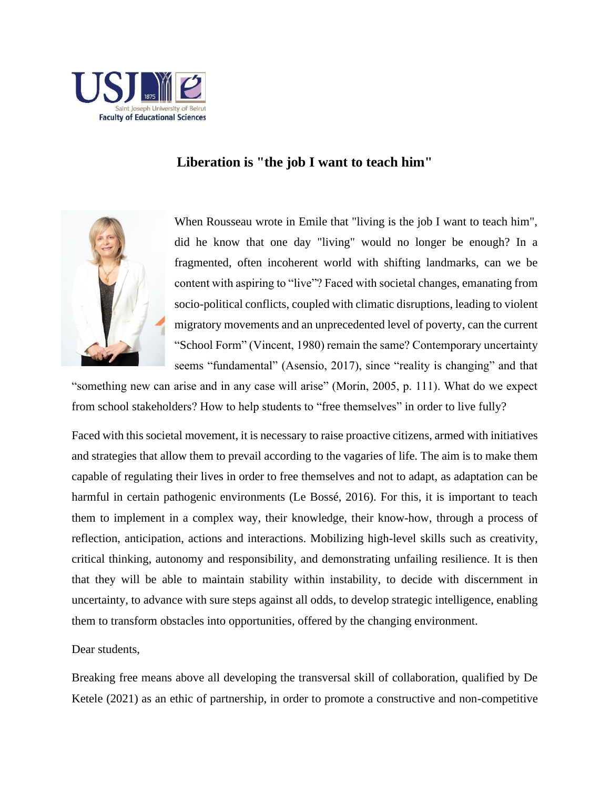

## **Liberation is "the job I want to teach him"**



When Rousseau wrote in Emile that "living is the job I want to teach him", did he know that one day "living" would no longer be enough? In a fragmented, often incoherent world with shifting landmarks, can we be content with aspiring to "live"? Faced with societal changes, emanating from socio-political conflicts, coupled with climatic disruptions, leading to violent migratory movements and an unprecedented level of poverty, can the current "School Form" (Vincent, 1980) remain the same? Contemporary uncertainty seems "fundamental" (Asensio, 2017), since "reality is changing" and that

"something new can arise and in any case will arise" (Morin, 2005, p. 111). What do we expect from school stakeholders? How to help students to "free themselves" in order to live fully?

Faced with this societal movement, it is necessary to raise proactive citizens, armed with initiatives and strategies that allow them to prevail according to the vagaries of life. The aim is to make them capable of regulating their lives in order to free themselves and not to adapt, as adaptation can be harmful in certain pathogenic environments (Le Bossé, 2016). For this, it is important to teach them to implement in a complex way, their knowledge, their know-how, through a process of reflection, anticipation, actions and interactions. Mobilizing high-level skills such as creativity, critical thinking, autonomy and responsibility, and demonstrating unfailing resilience. It is then that they will be able to maintain stability within instability, to decide with discernment in uncertainty, to advance with sure steps against all odds, to develop strategic intelligence, enabling them to transform obstacles into opportunities, offered by the changing environment.

Dear students,

Breaking free means above all developing the transversal skill of collaboration, qualified by De Ketele (2021) as an ethic of partnership, in order to promote a constructive and non-competitive